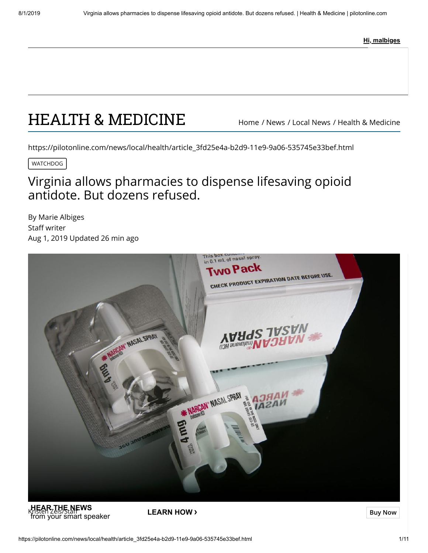**Hi, malbiges**

# [HEALTH & MEDICINE](https://pilotonline.com/news/local/health) [Home](https://pilotonline.com/) / [News](https://pilotonline.com/news/) / [Local News](https://pilotonline.com/news/local/) / [Health & Medicine](https://pilotonline.com/news/local/health/)

https://pilotonline.com/news/local/health/article\_3fd25e4a-b2d9-11e9-9a06-535745e33bef.html

WATCHDOG

## Virginia allows pharmacies to dispense lifesaving opioid antidote. But dozens refused.

[By Marie Albiges](https://pilotonline.com/users/profile/Marie%20Albiges)  Staff writer Aug 1, 2019 Updated 26 min ago



**KHEAR THE NEWS**<br>Kristen Zeis/Staf**f**<br>from your smart speaker **LEARN HOW ›**<br>from your smart speaker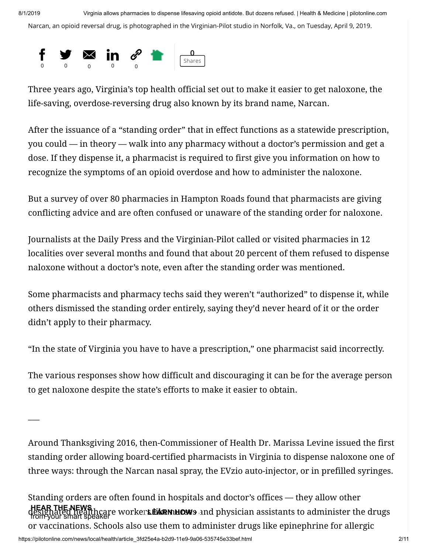Narcan, an opioid reversal drug, is photographed in the Virginian-Pilot studio in Norfolk, Va., on Tuesday, April 9, 2019.



Three years ago, Virginia's top health official set out to make it easier to get naloxone, the life-saving, overdose-reversing drug also known by its brand name, Narcan.

After the issuance of a "standing order" that in effect functions as a statewide prescription, you could — in theory — walk into any pharmacy without a doctor's permission and get a dose. If they dispense it, a pharmacist is required to first give you information on how to recognize the symptoms of an opioid overdose and how to administer the naloxone.

But a survey of over 80 pharmacies in Hampton Roads found that pharmacists are giving conflicting advice and are often confused or unaware of the standing order for naloxone.

Journalists at the Daily Press and the Virginian-Pilot called or visited pharmacies in 12 localities over several months and found that about 20 percent of them refused to dispense naloxone without a doctor's note, even after the standing order was mentioned.

Some pharmacists and pharmacy techs said they weren't "authorized" to dispense it, while others dismissed the standing order entirely, saying they'd never heard of it or the order didn't apply to their pharmacy.

"In the state of Virginia you have to have a prescription," one pharmacist said incorrectly.

The various responses show how difficult and discouraging it can be for the average person to get naloxone despite the state's efforts to make it easier to obtain.

 $\overline{\phantom{a}}$ 

Around Thanksgiving 2016, then-Commissioner of Health Dr. Marissa Levine issued the first standing order allowing board-certified pharmacists in Virginia to dispense naloxone one of three ways: through the Narcan nasal spray, the EVzio auto-injector, or in prefilled syringes.

Standing orders are often found in hospitals and doctor's offices — they allow other deshy like we worker**s Eike nuove** and physician assistants to administer the drugs<br>from your smart speaker or vaccinations. Schools also use them to administer drugs like epinephrine for allergic **HEAR THE NEWS**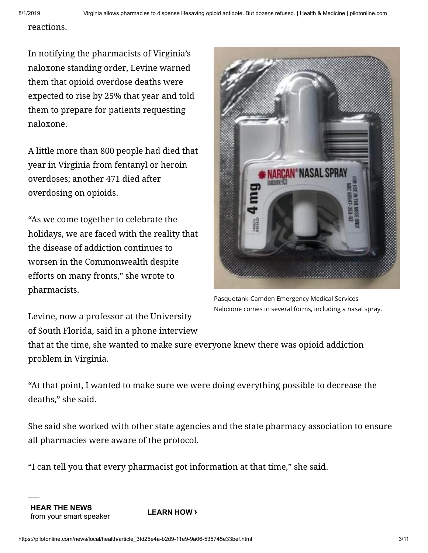reactions.

In notifying the pharmacists of Virginia's naloxone standing order, Levine warned them that opioid overdose deaths were expected to rise by 25% that year and told them to prepare for patients requesting naloxone.

A little more than 800 people had died that year in Virginia from fentanyl or heroin overdoses; another 471 died after overdosing on opioids.

"As we come together to celebrate the holidays, we are faced with the reality that the disease of addiction continues to worsen in the Commonwealth despite efforts on many fronts," she wrote to pharmacists.



Pasquotank-Camden Emergency Medical Services Naloxone comes in several forms, including a nasal spray.

Levine, now a professor at the University of South Florida, said in a phone interview

that at the time, she wanted to make sure everyone knew there was opioid addiction problem in Virginia.

"At that point, I wanted to make sure we were doing everything possible to decrease the deaths," she said.

She said she worked with other state agencies and the state pharmacy association to ensure all pharmacies were aware of the protocol.

"I can tell you that every pharmacist got information at that time," she said.

 $\overline{\phantom{a}}$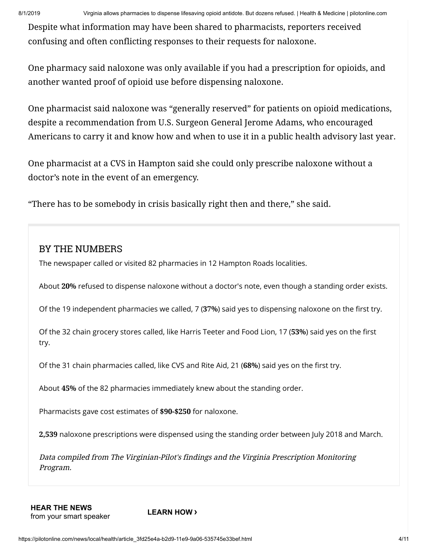Despite what information may have been shared to pharmacists, reporters received confusing and often conflicting responses to their requests for naloxone.

One pharmacy said naloxone was only available if you had a prescription for opioids, and another wanted proof of opioid use before dispensing naloxone.

One pharmacist said naloxone was "generally reserved" for patients on opioid medications, despite a recommendation from U.S. Surgeon General Jerome Adams, who encouraged Americans to carry it and know how and when to use it in a public health advisory last year.

One pharmacist at a CVS in Hampton said she could only prescribe naloxone without a doctor's note in the event of an emergency.

"There has to be somebody in crisis basically right then and there," she said.

#### BY THE NUMBERS

The newspaper called or visited 82 pharmacies in 12 Hampton Roads localities.

About **20%** refused to dispense naloxone without a doctor's note, even though a standing order exists.

Of the 19 independent pharmacies we called, 7 (37%) said yes to dispensing naloxone on the first try.

Of the 32 chain grocery stores called, like Harris Teeter and Food Lion, 17 (53%) said yes on the first try.

Of the 31 chain pharmacies called, like CVS and Rite Aid, 21 (68%) said yes on the first try.

About **45%** of the 82 pharmacies immediately knew about the standing order.

Pharmacists gave cost estimates of **\$90-\$250** for naloxone.

**2,539** naloxone prescriptions were dispensed using the standing order between July 2018 and March.

Data compiled from The Virginian-Pilot's findings and the Virginia Prescription Monitoring Program.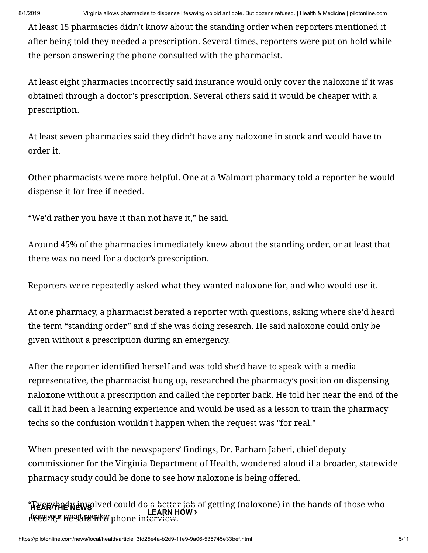At least 15 pharmacies didn't know about the standing order when reporters mentioned it after being told they needed a prescription. Several times, reporters were put on hold while the person answering the phone consulted with the pharmacist.

At least eight pharmacies incorrectly said insurance would only cover the naloxone if it was obtained through a doctor's prescription. Several others said it would be cheaper with a prescription.

At least seven pharmacies said they didn't have any naloxone in stock and would have to order it.

Other pharmacists were more helpful. One at a Walmart pharmacy told a reporter he would dispense it for free if needed.

"We'd rather you have it than not have it," he said.

Around 45% of the pharmacies immediately knew about the standing order, or at least that there was no need for a doctor's prescription.

Reporters were repeatedly asked what they wanted naloxone for, and who would use it.

At one pharmacy, a pharmacist berated a reporter with questions, asking where she'd heard the term "standing order" and if she was doing research. He said naloxone could only be given without a prescription during an emergency.

After the reporter identified herself and was told she'd have to speak with a media representative, the pharmacist hung up, researched the pharmacy's position on dispensing naloxone without a prescription and called the reporter back. He told her near the end of the call it had been a learning experience and would be used as a lesson to train the pharmacy techs so the confusion wouldn't happen when the request was "for real."

When presented with the newspapers' findings, Dr. Parham Jaberi, chief deputy commissioner for the Virginia Department of Health, wondered aloud if a broader, statewide pharmacy study could be done to see how naloxone is being offered.

**HEARTHPLINE WE** welved could do a better job of getting (naloxone) in the hands of those who **FRAM THE NEWS PORT OF SAID IN LEARN HOW >**<br>from your speaker of the phone interview.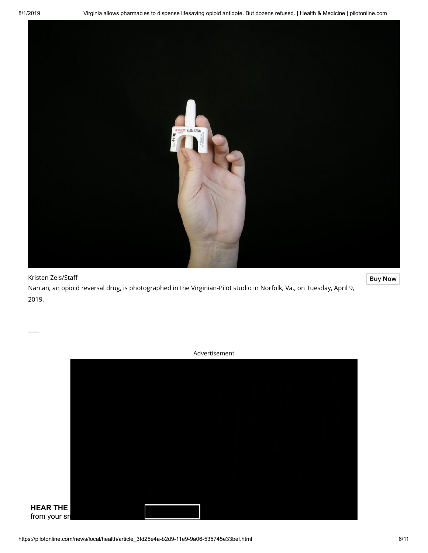$\overline{\phantom{a}}$ 



Kristen Zeis/Staff **[Buy Now](http://pilot.mycapture.com/mycapture/remoteimage.asp?backtext=Return%20to%20photo&backurl=https%3A%2F%2Fpilotonline.com%2Fnews%2Flocal%2Fhealth%2Farticle_3fd25e4a-b2d9-11e9-9a06-535745e33bef.html&thumbpath=https%3A%2F%2Fbloximages.newyork1.vip.townnews.com%2Fpilotonline.com%2Fcontent%2Ftncms%2Fassets%2Fv3%2Feditorial%2F0%2F63%2F063994b1-3663-5bcf-a8a4-ab22a6a694a8%2F5cacc23670431.image.jpg%3Fresize%3D540%252C360&previewpath=https%3A%2F%2Fbloximages.newyork1.vip.townnews.com%2Fpilotonline.com%2Fcontent%2Ftncms%2Fassets%2Fv3%2Feditorial%2F0%2F63%2F063994b1-3663-5bcf-a8a4-ab22a6a694a8%2F5cacc23670431.image.jpg%3Fresize%3D540%252C360¬es=https://bloximages.newyork1.vip.townnews.com/pilotonline.com/content/tncms/assets/v3/editorial/0/63/063994b1-3663-5bcf-a8a4-ab22a6a694a8/5cacc23670e24.~townnews~.jpg)** Narcan, an opioid reversal drug, is photographed in the Virginian-Pilot studio in Norfolk, Va., on Tuesday, April 9, 2019.

Advertisement

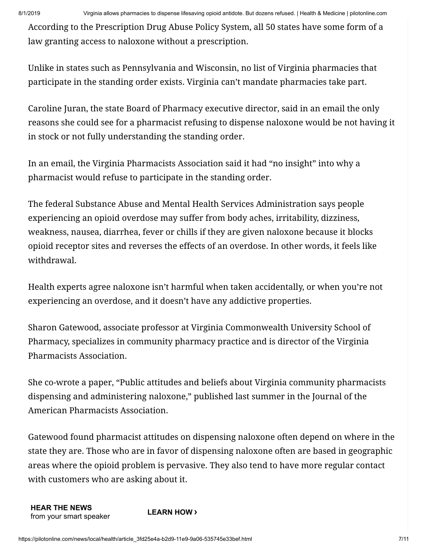8/1/2019 Virginia allows pharmacies to dispense lifesaving opioid antidote. But dozens refused. | Health & Medicine | pilotonline.com

According to the Prescription Drug Abuse Policy System, all 50 states have some form of a law granting access to naloxone without a prescription.

Unlike in states such as Pennsylvania and Wisconsin, no list of Virginia pharmacies that participate in the standing order exists. Virginia can't mandate pharmacies take part.

Caroline Juran, the state Board of Pharmacy executive director, said in an email the only reasons she could see for a pharmacist refusing to dispense naloxone would be not having it in stock or not fully understanding the standing order.

In an email, the Virginia Pharmacists Association said it had "no insight" into why a pharmacist would refuse to participate in the standing order.

The federal Substance Abuse and Mental Health Services Administration says people experiencing an opioid overdose may suffer from body aches, irritability, dizziness, weakness, nausea, diarrhea, fever or chills if they are given naloxone because it blocks opioid receptor sites and reverses the effects of an overdose. In other words, it feels like withdrawal.

Health experts agree naloxone isn't harmful when taken accidentally, or when you're not experiencing an overdose, and it doesn't have any addictive properties.

Sharon Gatewood, associate professor at Virginia Commonwealth University School of Pharmacy, specializes in community pharmacy practice and is director of the Virginia Pharmacists Association.

She co-wrote a paper, "Public attitudes and beliefs about Virginia community pharmacists dispensing and administering naloxone," published last summer in the Journal of the American Pharmacists Association.

Gatewood found pharmacist attitudes on dispensing naloxone often depend on where in the state they are. Those who are in favor of dispensing naloxone often are based in geographic areas where the opioid problem is pervasive. They also tend to have more regular contact with customers who are asking about it.

```
HEAR THE NEWS
from your smart speaker LEARN HOW ›
```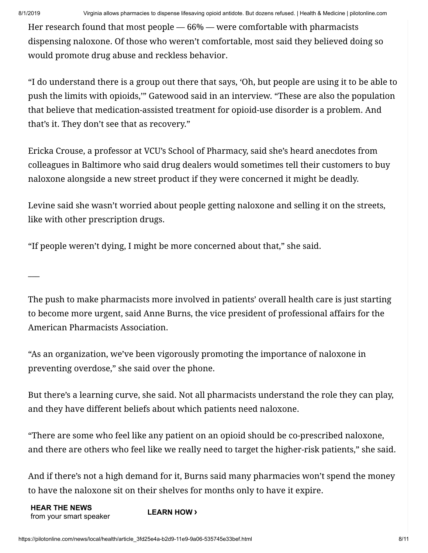$\overline{\phantom{a}}$ 

Her research found that most people — 66% — were comfortable with pharmacists dispensing naloxone. Of those who weren't comfortable, most said they believed doing so would promote drug abuse and reckless behavior.

"I do understand there is a group out there that says, 'Oh, but people are using it to be able to push the limits with opioids,'" Gatewood said in an interview. "These are also the population that believe that medication-assisted treatment for opioid-use disorder is a problem. And that's it. They don't see that as recovery."

Ericka Crouse, a professor at VCU's School of Pharmacy, said she's heard anecdotes from colleagues in Baltimore who said drug dealers would sometimes tell their customers to buy naloxone alongside a new street product if they were concerned it might be deadly.

Levine said she wasn't worried about people getting naloxone and selling it on the streets, like with other prescription drugs.

"If people weren't dying, I might be more concerned about that," she said.

The push to make pharmacists more involved in patients' overall health care is just starting to become more urgent, said Anne Burns, the vice president of professional affairs for the American Pharmacists Association.

"As an organization, we've been vigorously promoting the importance of naloxone in preventing overdose," she said over the phone.

But there's a learning curve, she said. Not all pharmacists understand the role they can play, and they have different beliefs about which patients need naloxone.

"There are some who feel like any patient on an opioid should be co-prescribed naloxone, and there are others who feel like we really need to target the higher-risk patients," she said.

And if there's not a high demand for it, Burns said many pharmacies won't spend the money to have the naloxone sit on their shelves for months only to have it expire.

**HEAR THE NEWS** from your smart speaker **LEARN HOW ›**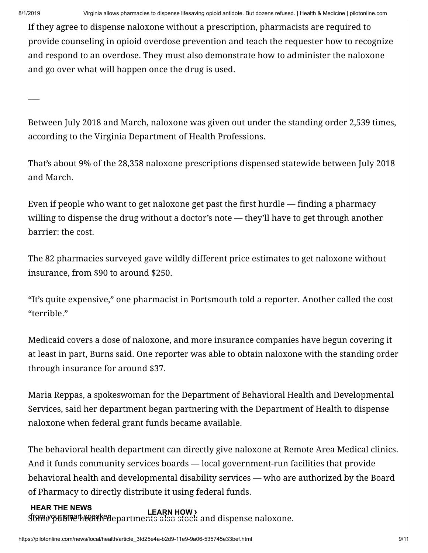If they agree to dispense naloxone without a prescription, pharmacists are required to provide counseling in opioid overdose prevention and teach the requester how to recognize and respond to an overdose. They must also demonstrate how to administer the naloxone and go over what will happen once the drug is used.

 $\overline{\phantom{a}}$ 

Between July 2018 and March, naloxone was given out under the standing order 2,539 times, according to the Virginia Department of Health Professions.

That's about 9% of the 28,358 naloxone prescriptions dispensed statewide between July 2018 and March.

Even if people who want to get naloxone get past the first hurdle — finding a pharmacy willing to dispense the drug without a doctor's note — they'll have to get through another barrier: the cost.

The 82 pharmacies surveyed gave wildly different price estimates to get naloxone without insurance, from \$90 to around \$250.

"It's quite expensive," one pharmacist in Portsmouth told a reporter. Another called the cost "terrible."

Medicaid covers a dose of naloxone, and more insurance companies have begun covering it at least in part, Burns said. One reporter was able to obtain naloxone with the standing order through insurance for around \$37.

Maria Reppas, a spokeswoman for the Department of Behavioral Health and Developmental Services, said her department began partnering with the Department of Health to dispense naloxone when federal grant funds became available.

The behavioral health department can directly give naloxone at Remote Area Medical clinics. And it funds community services boards — local government-run facilities that provide behavioral health and developmental disability services — who are authorized by the Board of Pharmacy to directly distribute it using federal funds.

#### Some public health departments also stock and dispense naloxone. from your smart speaker **LEARN HOW ›HEAR THE NEWS**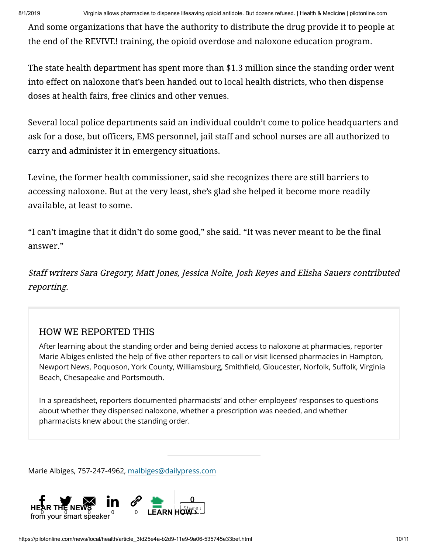8/1/2019 Virginia allows pharmacies to dispense lifesaving opioid antidote. But dozens refused. | Health & Medicine | pilotonline.com

And some organizations that have the authority to distribute the drug provide it to people at the end of the REVIVE! training, the opioid overdose and naloxone education program.

The state health department has spent more than \$1.3 million since the standing order went into effect on naloxone that's been handed out to local health districts, who then dispense doses at health fairs, free clinics and other venues.

Several local police departments said an individual couldn't come to police headquarters and ask for a dose, but officers, EMS personnel, jail staff and school nurses are all authorized to carry and administer it in emergency situations.

Levine, the former health commissioner, said she recognizes there are still barriers to accessing naloxone. But at the very least, she's glad she helped it become more readily available, at least to some.

"I can't imagine that it didn't do some good," she said. "It was never meant to be the final answer."

Staff writers Sara Gregory, Matt Jones, Jessica Nolte, Josh Reyes and Elisha Sauers contributed reporting.

## HOW WE REPORTED THIS

After learning about the standing order and being denied access to naloxone at pharmacies, reporter Marie Albiges enlisted the help of five other reporters to call or visit licensed pharmacies in Hampton, Newport News, Poquoson, York County, Williamsburg, Smithfield, Gloucester, Norfolk, Suffolk, Virginia Beach, Chesapeake and Portsmouth.

In a spreadsheet, reporters documented pharmacists' and other employees' responses to questions about whether they dispensed naloxone, whether a prescription was needed, and whether pharmacists knew about the standing order.

Marie Albiges, 757-247-4962, [malbiges@dailypress.com](mailto:malbiges@dailypress.com)